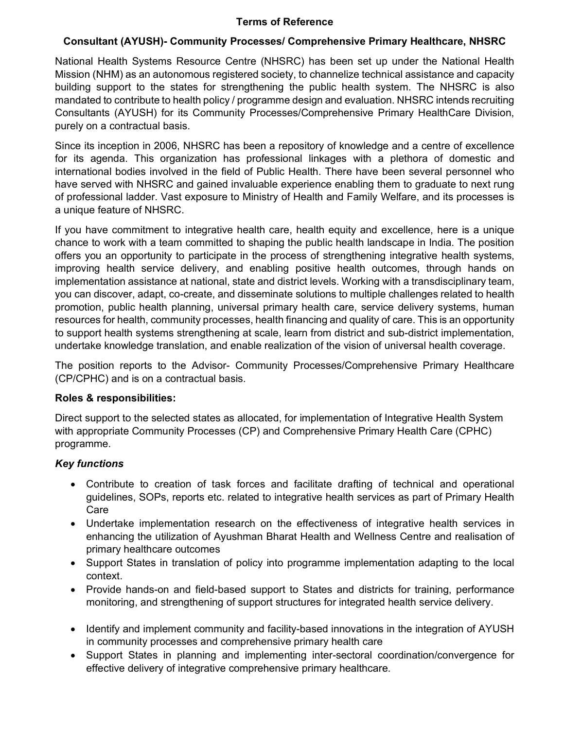# Terms of Reference

# Consultant (AYUSH)- Community Processes/ Comprehensive Primary Healthcare, NHSRC

National Health Systems Resource Centre (NHSRC) has been set up under the National Health Mission (NHM) as an autonomous registered society, to channelize technical assistance and capacity building support to the states for strengthening the public health system. The NHSRC is also mandated to contribute to health policy / programme design and evaluation. NHSRC intends recruiting Consultants (AYUSH) for its Community Processes/Comprehensive Primary HealthCare Division, purely on a contractual basis.

Since its inception in 2006, NHSRC has been a repository of knowledge and a centre of excellence for its agenda. This organization has professional linkages with a plethora of domestic and international bodies involved in the field of Public Health. There have been several personnel who have served with NHSRC and gained invaluable experience enabling them to graduate to next rung of professional ladder. Vast exposure to Ministry of Health and Family Welfare, and its processes is a unique feature of NHSRC.

If you have commitment to integrative health care, health equity and excellence, here is a unique chance to work with a team committed to shaping the public health landscape in India. The position offers you an opportunity to participate in the process of strengthening integrative health systems, improving health service delivery, and enabling positive health outcomes, through hands on implementation assistance at national, state and district levels. Working with a transdisciplinary team, you can discover, adapt, co-create, and disseminate solutions to multiple challenges related to health promotion, public health planning, universal primary health care, service delivery systems, human resources for health, community processes, health financing and quality of care. This is an opportunity to support health systems strengthening at scale, learn from district and sub-district implementation, undertake knowledge translation, and enable realization of the vision of universal health coverage.

The position reports to the Advisor- Community Processes/Comprehensive Primary Healthcare (CP/CPHC) and is on a contractual basis.

#### Roles & responsibilities:

Direct support to the selected states as allocated, for implementation of Integrative Health System with appropriate Community Processes (CP) and Comprehensive Primary Health Care (CPHC) programme.

# Key functions

- Contribute to creation of task forces and facilitate drafting of technical and operational guidelines, SOPs, reports etc. related to integrative health services as part of Primary Health Care
- Undertake implementation research on the effectiveness of integrative health services in enhancing the utilization of Ayushman Bharat Health and Wellness Centre and realisation of primary healthcare outcomes
- Support States in translation of policy into programme implementation adapting to the local context.
- Provide hands-on and field-based support to States and districts for training, performance monitoring, and strengthening of support structures for integrated health service delivery.
- Identify and implement community and facility-based innovations in the integration of AYUSH in community processes and comprehensive primary health care
- Support States in planning and implementing inter-sectoral coordination/convergence for effective delivery of integrative comprehensive primary healthcare.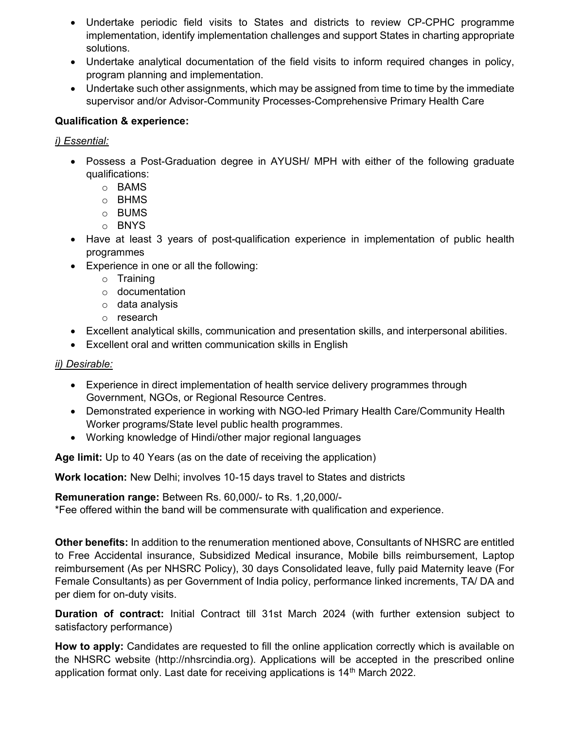- Undertake periodic field visits to States and districts to review CP-CPHC programme implementation, identify implementation challenges and support States in charting appropriate solutions.
- Undertake analytical documentation of the field visits to inform required changes in policy, program planning and implementation.
- Undertake such other assignments, which may be assigned from time to time by the immediate supervisor and/or Advisor-Community Processes-Comprehensive Primary Health Care

# Qualification & experience:

# i) Essential:

- Possess a Post-Graduation degree in AYUSH/ MPH with either of the following graduate qualifications:
	- o BAMS
	- o BHMS
	- o BUMS
	- o BNYS
- Have at least 3 years of post-qualification experience in implementation of public health programmes
- Experience in one or all the following:
	- o Training
	- o documentation
	- o data analysis
	- o research
- Excellent analytical skills, communication and presentation skills, and interpersonal abilities.
- Excellent oral and written communication skills in English

ii) Desirable:

- Experience in direct implementation of health service delivery programmes through Government, NGOs, or Regional Resource Centres.
- Demonstrated experience in working with NGO-led Primary Health Care/Community Health Worker programs/State level public health programmes.
- Working knowledge of Hindi/other major regional languages

Age limit: Up to 40 Years (as on the date of receiving the application)

Work location: New Delhi; involves 10-15 days travel to States and districts

Remuneration range: Between Rs. 60,000/- to Rs. 1,20,000/-

\*Fee offered within the band will be commensurate with qualification and experience.

Other benefits: In addition to the renumeration mentioned above, Consultants of NHSRC are entitled to Free Accidental insurance, Subsidized Medical insurance, Mobile bills reimbursement, Laptop reimbursement (As per NHSRC Policy), 30 days Consolidated leave, fully paid Maternity leave (For Female Consultants) as per Government of India policy, performance linked increments, TA/ DA and per diem for on-duty visits.

Duration of contract: Initial Contract till 31st March 2024 (with further extension subject to satisfactory performance)

How to apply: Candidates are requested to fill the online application correctly which is available on the NHSRC website (http://nhsrcindia.org). Applications will be accepted in the prescribed online application format only. Last date for receiving applications is 14<sup>th</sup> March 2022.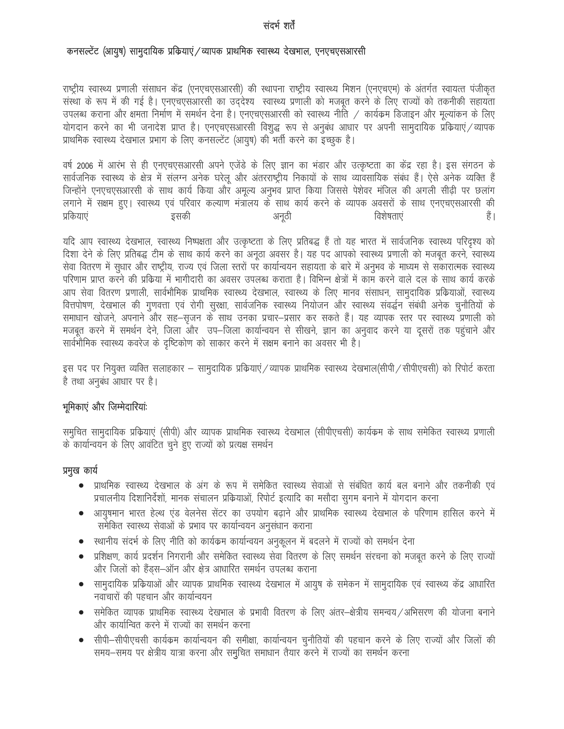# संदर्भ शर्तें

### कनसल्टेंट (आयुष) सामुदायिक प्रकियाएं / व्यापक प्राथमिक स्वास्थ्य देखभाल, एनएचएसआरसी

राष्ट्रीय स्वास्थ्य प्रणाली संसाधन केंद्र (एनएचएसआरसी) की स्थापना राष्ट्रीय स्वास्थ्य मिशन (एनएचएम) के अंतर्गत स्वायत्त पंजीकृत संस्था के रूप में की गई है। एनएचएसआरसी का उद्देश्य स्वास्थ्य प्रणाली को मजबूत करने के लिए राज्यों को तकनीकी सहायता उपलब्ध कराना और क्षमता निर्माण में समर्थन देना है। एनएचएसआरसी को स्वास्थ्य नीति / कार्यक्रम डिजाइन और मूल्यांकन के लिए योगदान करने का भी जनादेश प्राप्त है। एनएचएसआरसी विशुद्ध रूप से अनुबंध आधार पर अपनी सामुदायिक प्रक्रियाएं/व्यापक प्राथमिक स्वास्थ्य देखभाल प्रभाग के लिए कनसल्टेंट (आयुष) की भर्ती करने का इच्छुक है।

वर्ष 2006 में आरंभ से ही एनएचएसआरसी अपने एजेंडे के लिए ज्ञान का भंडार और उत्कृष्टता का केंद्र रहा है। इस संगठन के सार्वजनिक स्वास्थ्य के क्षेत्र में संलग्न अनेक घरेलू और अंतरराष्ट्रीय निकायों के साथ व्यावसायिक संबंध हैं। ऐसे अनेक व्यक्ति हैं जिन्होंने एनएचएसआरसी के साथ कार्य किया और अमूल्य अनुभव प्राप्त किया जिससे पेशेवर मंजिल की अगली सीढ़ी पर छलांग लगाने में सक्षम हुए। स्वास्थ्य एवं परिवार कल्याण मंत्रालय के साथ कार्य करने के व्यापक अवसरों के साथ एनएचएसआरसी की प्रकियाएं हैं । इसकी अनुठी विशेषताएं

यदि आप स्वास्थ्य देखभाल, स्वास्थ्य निष्पक्षता और उत्कृष्टता के लिए प्रतिबद्ध हैं तो यह भारत में सार्वजनिक स्वास्थ्य परिदृश्य को दिशा देने के लिए प्रतिबद्ध टीम के साथ कार्य करने का अनूठा अवसर है। यह पद आपको स्वास्थ्य प्रणाली को मजबूत करने, स्वास्थ्य सेवा वितरण में सुधार और राष्ट्रीय, राज्य एवं जिला स्तरों पर कार्यान्वयन सहायता के बारे में अनुभव के माध्यम से सकारात्मक स्वास्थ्य परिणाम प्राप्त करने की प्रकिया में भागीदारी का अवसर उपलब्ध कराता है। विभिन्न क्षेत्रों में काम करने वाले दल के साथ कार्य करके आप सेवा वितरण प्रणाली, सार्वभौमिक प्राथमिक स्वास्थ्य देखभाल, स्वास्थ्य के लिए मानव संसाधन, सामुदायिक प्रक्रियाओं, स्वास्थ्य वित्तपोषण, देखभाल की गुणवत्ता एवं रोगी सुरक्षा, सार्वजनिक स्वास्थ्य नियोजन और स्वास्थ्य संवर्द्धन संबंधी अनेक चुनौतियों के समाधान खोजने, अपनाने और सह–सृजन के साथ उनका प्रचार–प्रसार कर सकते हैं। यह व्यापक स्तर पर स्वास्थ्य प्रणाली को मजबूत करने में समर्थन देने, जिला और उप–जिला कार्यान्वयन से सीखने, ज्ञान का अनुवाद करने या दूसरों तक पहुंचाने और सार्वभौमिक स्वास्थ्य कवरेज के दृष्टिकोण को साकार करने में सक्षम बनाने का अवसर भी है।

इस पद पर नियुक्त व्यक्ति सलाहकार – सामुदायिक प्रकियाएं/व्यापक प्राथमिक स्वास्थ्य देखभाल(सीपी/सीपीएचसी) को रिपोर्ट करता है तथा अनुबंध आधार पर है।

#### भूमिकाएं और जिम्मेदारियांः

समुचित सामुदायिक प्रक्रियाएं (सीपी) और व्यापक प्राथमिक स्वास्थ्य देखभाल (सीपीएचसी) कार्यक्रम के साथ समेकित स्वास्थ्य प्रणाली के कार्यान्वयन के लिए आवंटित चुने हुए राज्यों को प्रत्यक्ष समर्थन

#### प्रमुख कार्य

- प्राथमिक स्वास्थ्य देखभाल के अंग के रूप में समेकित स्वास्थ्य सेवाओं से संबंधित कार्य बल बनाने और तकनीकी एवं  $\bullet$ प्रचालनीय दिशानिर्देशों, मानक संचालन प्रक्रियाओं, रिपोर्ट इत्यादि का मसौदा सुगम बनाने में योगदान करना
- आयुषमान भारत हेल्थ एंड वेलनेस सेंटर का उपयोग बढाने और प्राथमिक स्वास्थ्य देखभाल के परिणाम हासिल करने में समेकित स्वास्थ्य सेवाओं के प्रभाव पर कार्यान्वयन अनुसंधान कराना
- स्थानीय संदर्भ के लिए नीति को कार्यक्रम कार्यान्वयन अनुकूलन में बदलने में राज्यों को समर्थन देना
- प्रशिक्षण, कार्य प्रदर्शन निगरानी और समेकित स्वास्थ्य सेवा वितरण के लिए समर्थन संरचना को मजबूत करने के लिए राज्यों और जिलों को हैंड्स–ऑन और क्षेत्र आधारित समर्थन उपलब्ध कराना
- सामुदायिक प्रक्रियाओं और व्यापक प्राथमिक स्वास्थ्य देखभाल में आयुष के समेकन में सामुदायिक एवं स्वास्थ्य केंद्र आधारित नवाचारों की पहचान और कार्यान्वयन
- समेकित व्यापक प्राथमिक स्वास्थ्य देखभाल के प्रभावी वितरण के लिए अंतर–क्षेत्रीय समन्वय ⁄ अभिसरण की योजना बनाने और कार्यान्वित करने में राज्यों का समर्थन करना
- सीपी–सीपीएचसी कार्यक्रम कार्यान्वयन की समीक्षा, कार्यान्वयन चुनौतियों की पहचान करने के लिए राज्यों और जिलों की  $\bullet$ समय-समय पर क्षेत्रीय यात्रा करना और समुचित समाधान तैयार करने में राज्यों का समर्थन करना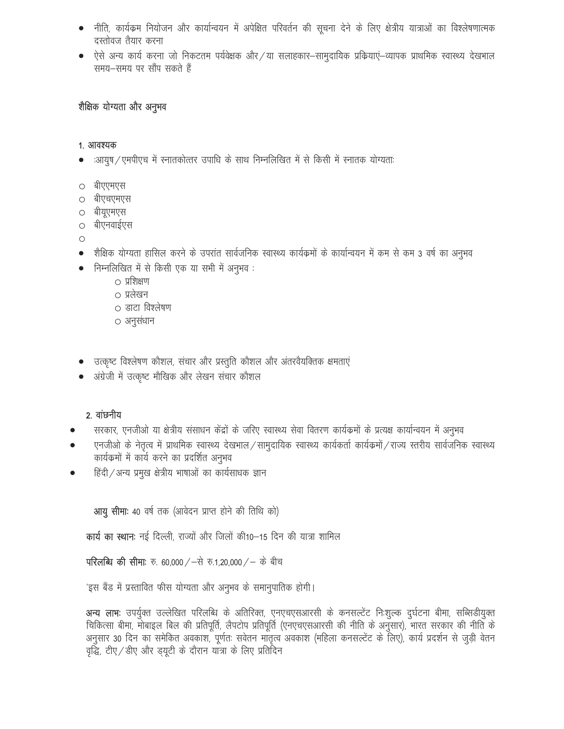- नीति, कार्यक्रम नियोजन और कार्यान्वयन में अपेक्षित परिवर्तन की सूचना देने के लिए क्षेत्रीय यात्राओं का विश्लेषणात्मक दस्तोवज तैयार करना
- ऐसे अन्य कार्य करना जो निकटतम पर्यवेक्षक और / या सलाहकार—सामुदायिक प्रक्रियाएं—व्यापक प्राथमिक स्वास्थ्य देखभाल समय—समय पर सौंप सकते हैं

# शैक्षिक योग्यता और अनुभव

#### 1. आवश्यक

- आयुष/एमपीएच में स्नातकोत्तर उपाधि के साथ निम्नलिखित में से किसी में स्नातक योग्यताः
- बीएएमएस  $\bigcirc$
- बीएचएमएस
- बीयूएमएस  $\circ$
- बीएनवाईएस  $\circ$
- $\circ$
- शैक्षिक योग्यता हासिल करने के उपरांत सार्वजनिक स्वास्थ्य कार्यक्रमों के कार्यान्वयन में कम से कम 3 वर्ष का अनुभव
- निम्नलिखित में से किसी एक या सभी में अनुभव :
	- प्रशिक्षण
	- प्रलेखन
	- डाटा विश्लेषण
	- अनुसंधान
- उत्कृष्ट विश्लेषण कौशल, संचार और प्रस्तुति कौशल और अंतरवैयक्तिक क्षमताएं
- अंग्रेजी में उत्कृष्ट मौखिक और लेखन संचार कौशल

#### 2. वांछनीय

- सरकार, एनजीओ या क्षेत्रीय संसाधन केंद्रों के जरिए स्वास्थ्य सेवा वितरण कार्यक्रमों के प्रत्यक्ष कार्यान्वयन में अनुभव
- एनजीओ के नेतृत्व में प्राथमिक स्वास्थ्य देखभाल/सामुदायिक स्वास्थ्य कार्यकर्ता कार्यक्रमों/राज्य स्तरीय सार्वजनिक स्वास्थ्य कार्यक्रमों में कार्य करने का प्रदर्शित अनुभव
- हिंदी / अन्य प्रमुख क्षेत्रीय भाषाओं का कार्यसाधक ज्ञान

आयु सीमाः 40 वर्ष तक (आवेदन प्राप्त होने की तिथि को)

**कार्य का स्थानः** नई दिल्ली, राज्यों और जिलों की10–15 दिन की यात्रा शामिल

परिलब्धि की सीमा: रु. 60,000 / - से रु.1,20,000 / - के बीच

'इस बैंड में प्रस्तावित फीस योग्यता और अनुभव के समानुपातिक होगी।

अन्य लाभः उपर्युक्त उल्लेखित परिलब्धि के अतिरिक्त, एनएचएसआरसी के कनसल्टेंट निःशुल्क दुर्घटना बीमा, सब्सिडीयुक्त चिकित्सा बीमा, मोबाइल बिल की प्रतिपूर्ति, लैपटोप प्रतिपूर्ति (एनएचएसआरसी की नीति के अनुसार), भारत सरकार की नीति के अनुसार 30 दिन का समेकित अवकाश, पूर्णतः सवेतन मातृत्व अवकाश (महिला कनसल्टेंट के लिए), कार्य प्रदर्शन से जुड़ी वेतन वृद्धि, टीए / डीए और ड्यूटी के दौरान यात्रा के लिए प्रतिदिन